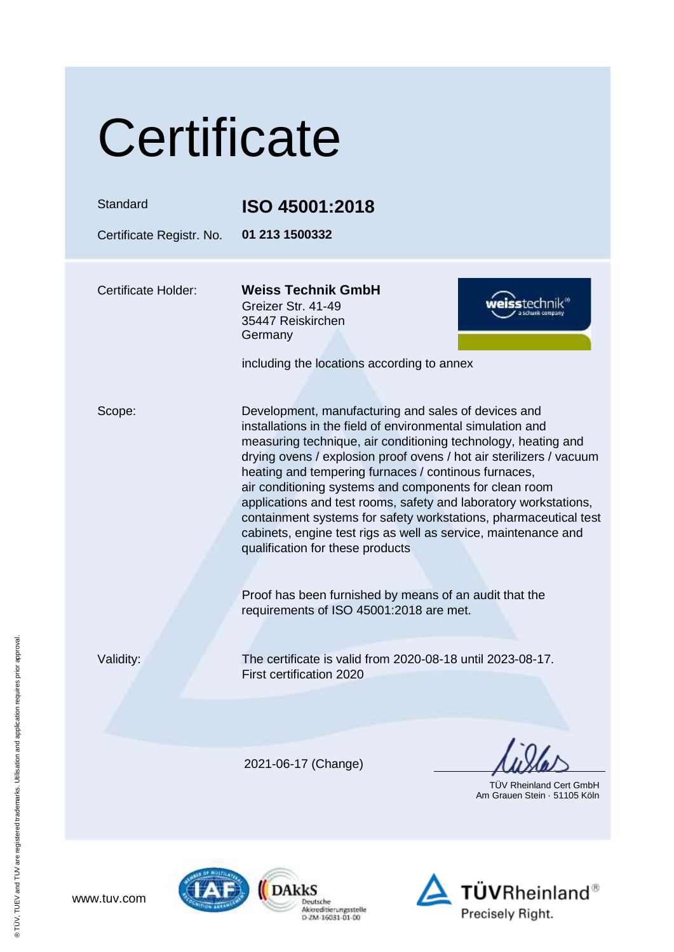| Certificate                |                                                                                                                                                                                                                                                                                                                                                                                                                                                                                                                                                                                                                                                                                     |
|----------------------------|-------------------------------------------------------------------------------------------------------------------------------------------------------------------------------------------------------------------------------------------------------------------------------------------------------------------------------------------------------------------------------------------------------------------------------------------------------------------------------------------------------------------------------------------------------------------------------------------------------------------------------------------------------------------------------------|
| Standard                   | ISO 45001:2018                                                                                                                                                                                                                                                                                                                                                                                                                                                                                                                                                                                                                                                                      |
| Certificate Registr. No.   | 01 213 1500332                                                                                                                                                                                                                                                                                                                                                                                                                                                                                                                                                                                                                                                                      |
| <b>Certificate Holder:</b> | <b>Weiss Technik GmbH</b><br>Greizer Str. 41-49<br>35447 Reiskirchen<br>Germany<br>including the locations according to annex                                                                                                                                                                                                                                                                                                                                                                                                                                                                                                                                                       |
| Scope:                     | Development, manufacturing and sales of devices and<br>installations in the field of environmental simulation and<br>measuring technique, air conditioning technology, heating and<br>drying ovens / explosion proof ovens / hot air sterilizers / vacuum<br>heating and tempering furnaces / continous furnaces,<br>air conditioning systems and components for clean room<br>applications and test rooms, safety and laboratory workstations,<br>containment systems for safety workstations, pharmaceutical test<br>cabinets, engine test rigs as well as service, maintenance and<br>qualification for these products<br>Proof has been furnished by means of an audit that the |
|                            | requirements of ISO 45001:2018 are met.                                                                                                                                                                                                                                                                                                                                                                                                                                                                                                                                                                                                                                             |
| Validity:                  | The certificate is valid from 2020-08-18 until 2023-08-17.<br>First certification 2020                                                                                                                                                                                                                                                                                                                                                                                                                                                                                                                                                                                              |
|                            |                                                                                                                                                                                                                                                                                                                                                                                                                                                                                                                                                                                                                                                                                     |
|                            | 2021-06-17 (Change)<br><b>TUV Rheinland Cert GmbH</b><br>Am Grauen Stein 51105 Köln                                                                                                                                                                                                                                                                                                                                                                                                                                                                                                                                                                                                 |
|                            |                                                                                                                                                                                                                                                                                                                                                                                                                                                                                                                                                                                                                                                                                     |



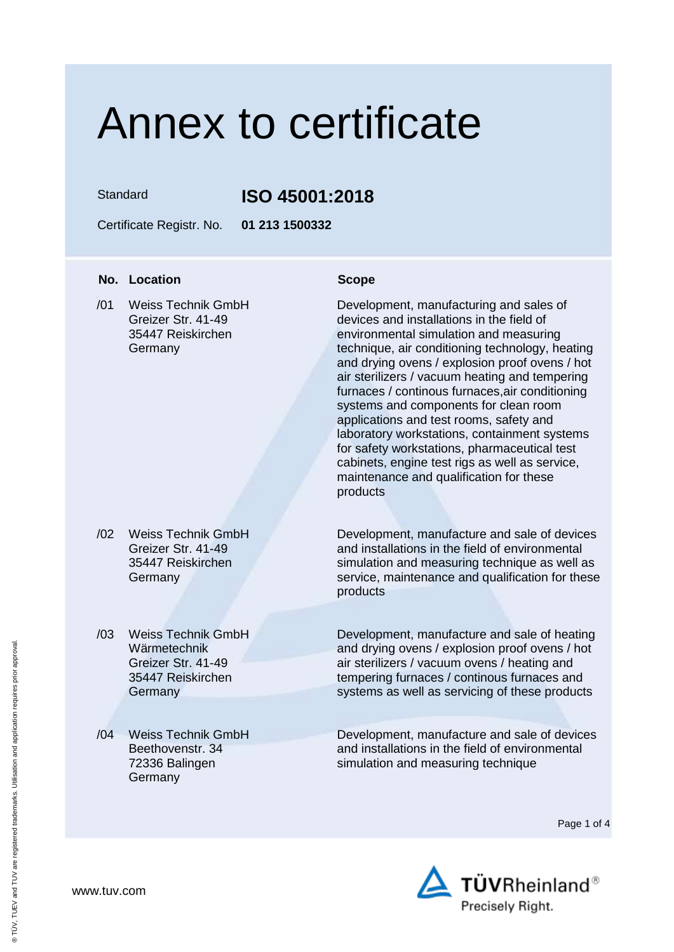Standard **ISO 45001:2018**

Certificate Registr. No. **01 213 1500332**

### **No. Location Scope**

 $\overline{101}$ Weiss Technik GmbH Greizer Str. 41-49 35447 Reiskirchen Germany

- /02 Weiss Technik GmbH Greizer Str. 41-49 35447 Reiskirchen Germany
- /03 Weiss Technik GmbH Wärmetechnik Greizer Str. 41-49 35447 Reiskirchen **Germany**
- /04 Weiss Technik GmbH Beethovenstr. 34 72336 Balingen Germany

Development, manufacturing and sales of devices and installations in the field of environmental simulation and measuring technique, air conditioning technology, heating and drying ovens / explosion proof ovens / hot air sterilizers / vacuum heating and tempering furnaces / continous furnaces,air conditioning systems and components for clean room applications and test rooms, safety and laboratory workstations, containment systems for safety workstations, pharmaceutical test cabinets, engine test rigs as well as service, maintenance and qualification for these products

Development, manufacture and sale of devices and installations in the field of environmental simulation and measuring technique as well as service, maintenance and qualification for these products

Development, manufacture and sale of heating and drying ovens / explosion proof ovens / hot air sterilizers / vacuum ovens / heating and tempering furnaces / continous furnaces and systems as well as servicing of these products

Development, manufacture and sale of devices and installations in the field of environmental simulation and measuring technique

Page 1 of 4

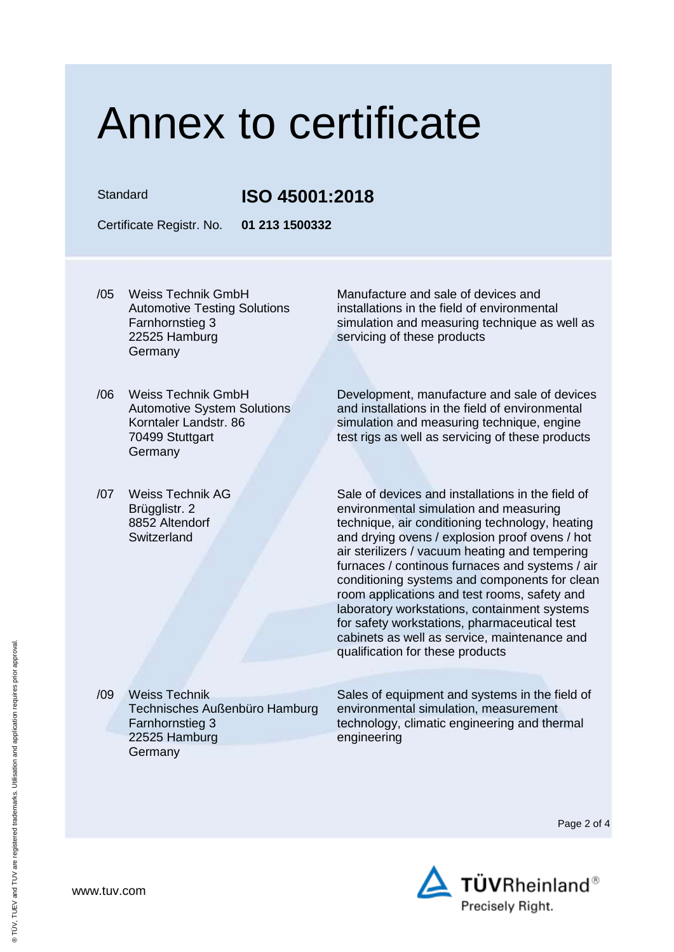Standard **ISO 45001:2018**

Certificate Registr. No. **01 213 1500332**

- /05 Weiss Technik GmbH Automotive Testing Solutions Farnhornstieg 3 22525 Hamburg **Germany**
- /06 Weiss Technik GmbH Automotive System Solutions Korntaler Landstr. 86 70499 Stuttgart **Germany**
- /07 Weiss Technik AG Brügglistr. 2 8852 Altendorf **Switzerland**

Manufacture and sale of devices and installations in the field of environmental simulation and measuring technique as well as servicing of these products

Development, manufacture and sale of devices and installations in the field of environmental simulation and measuring technique, engine test rigs as well as servicing of these products

Sale of devices and installations in the field of environmental simulation and measuring technique, air conditioning technology, heating and drying ovens / explosion proof ovens / hot air sterilizers / vacuum heating and tempering furnaces / continous furnaces and systems / air conditioning systems and components for clean room applications and test rooms, safety and laboratory workstations, containment systems for safety workstations, pharmaceutical test cabinets as well as service, maintenance and qualification for these products

/09 Weiss Technik Technisches Außenbüro Hamburg Farnhornstieg 3 22525 Hamburg **Germany** 

Sales of equipment and systems in the field of environmental simulation, measurement technology, climatic engineering and thermal engineering

Page 2 of 4

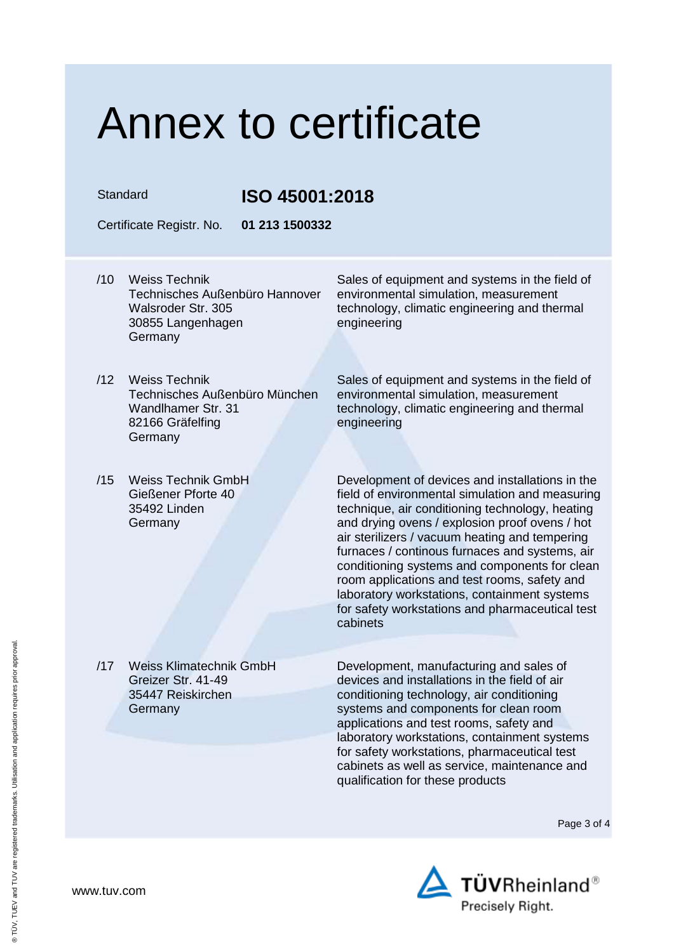### Standard **ISO 45001:2018**

Certificate Registr. No. **01 213 1500332**

/10 Weiss Technik Technisches Außenbüro Hannover Walsroder Str. 305 30855 Langenhagen Germany

Sales of equipment and systems in the field of environmental simulation, measurement technology, climatic engineering and thermal engineering

- /12 Weiss Technik Technisches Außenbüro München Wandlhamer Str. 31 82166 Gräfelfing Germany
- /15 Weiss Technik GmbH Gießener Pforte 40 35492 Linden Germany

Sales of equipment and systems in the field of environmental simulation, measurement technology, climatic engineering and thermal engineering

Development of devices and installations in the field of environmental simulation and measuring technique, air conditioning technology, heating and drying ovens / explosion proof ovens / hot air sterilizers / vacuum heating and tempering furnaces / continous furnaces and systems, air conditioning systems and components for clean room applications and test rooms, safety and laboratory workstations, containment systems for safety workstations and pharmaceutical test cabinets

/17 Weiss Klimatechnik GmbH Greizer Str. 41-49 35447 Reiskirchen **Germany** 

Development, manufacturing and sales of devices and installations in the field of air conditioning technology, air conditioning systems and components for clean room applications and test rooms, safety and laboratory workstations, containment systems for safety workstations, pharmaceutical test cabinets as well as service, maintenance and qualification for these products

Page 3 of 4



www.tuv.com